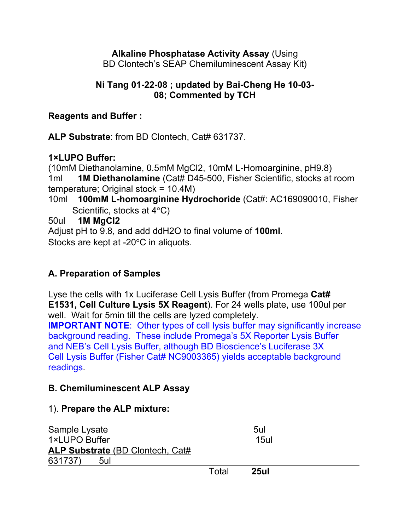#### **Alkaline Phosphatase Activity Assay** (Using BD Clontech's SEAP Chemiluminescent Assay Kit)

## **Ni Tang 01-22-08 ; updated by Bai-Cheng He 10-03- 08; Commented by TCH**

## **Reagents and Buffer :**

**ALP Substrate**: from BD Clontech, Cat# 631737.

## **1×LUPO Buffer:**

(10mM Diethanolamine, 0.5mM MgCl2, 10mM L-Homoarginine, pH9.8) 1ml **1M Diethanolamine** (Cat# D45-500, Fisher Scientific, stocks at room temperature; Original stock = 10.4M)

10ml **100mM L-homoarginine Hydrochoride** (Cat#: AC169090010, Fisher Scientific, stocks at  $4^{\circ}$ C)

50ul **1M MgCl2**

Adjust pH to 9.8, and add ddH2O to final volume of **100ml**. Stocks are kept at -20 $\degree$ C in aliquots.

# **A. Preparation of Samples**

Lyse the cells with 1x Luciferase Cell Lysis Buffer (from Promega **Cat# E1531, Cell Culture Lysis 5X Reagent**). For 24 wells plate, use 100ul per well. Wait for 5min till the cells are lyzed completely.

**IMPORTANT NOTE**: Other types of cell lysis buffer may significantly increase background reading. These include Promega's 5X Reporter Lysis Buffer and NEB's Cell Lysis Buffer, although BD Bioscience's Luciferase 3X Cell Lysis Buffer (Fisher Cat# NC9003365) yields acceptable background readings.

# **B. Chemiluminescent ALP Assay**

## 1). **Prepare the ALP mixture:**

Sample Lysate 5ul 1×LUPO Buffer 15ul **ALP Substrate** (BD Clontech, Cat# 631737) 5ul Total **25ul**